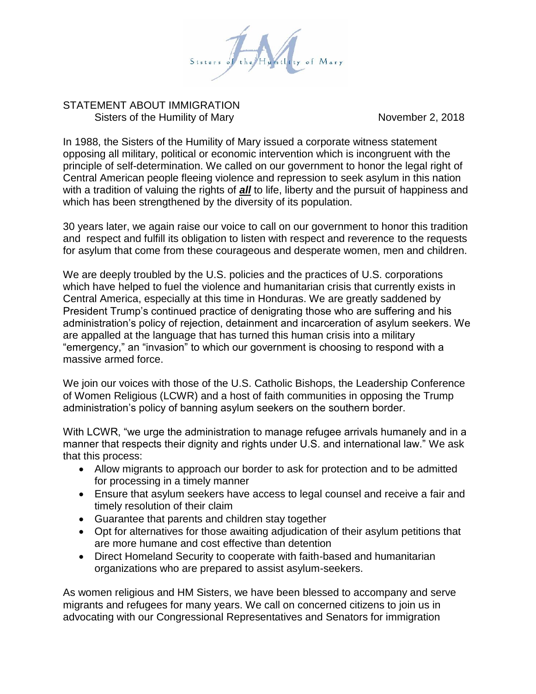

## STATEMENT ABOUT IMMIGRATION Sisters of the Humility of Mary November 2, 2018

In 1988, the Sisters of the Humility of Mary issued a corporate witness statement opposing all military, political or economic intervention which is incongruent with the principle of self-determination. We called on our government to honor the legal right of Central American people fleeing violence and repression to seek asylum in this nation with a tradition of valuing the rights of *all* to life, liberty and the pursuit of happiness and which has been strengthened by the diversity of its population.

30 years later, we again raise our voice to call on our government to honor this tradition and respect and fulfill its obligation to listen with respect and reverence to the requests for asylum that come from these courageous and desperate women, men and children.

We are deeply troubled by the U.S. policies and the practices of U.S. corporations which have helped to fuel the violence and humanitarian crisis that currently exists in Central America, especially at this time in Honduras. We are greatly saddened by President Trump's continued practice of denigrating those who are suffering and his administration's policy of rejection, detainment and incarceration of asylum seekers. We are appalled at the language that has turned this human crisis into a military "emergency," an "invasion" to which our government is choosing to respond with a massive armed force.

We join our voices with those of the U.S. Catholic Bishops, the Leadership Conference of Women Religious (LCWR) and a host of faith communities in opposing the Trump administration's policy of banning asylum seekers on the southern border.

With LCWR, "we urge the administration to manage refugee arrivals humanely and in a manner that respects their dignity and rights under U.S. and international law." We ask that this process:

- Allow migrants to approach our border to ask for protection and to be admitted for processing in a timely manner
- Ensure that asylum seekers have access to legal counsel and receive a fair and timely resolution of their claim
- Guarantee that parents and children stay together
- Opt for alternatives for those awaiting adjudication of their asylum petitions that are more humane and cost effective than detention
- Direct Homeland Security to cooperate with faith-based and humanitarian organizations who are prepared to assist asylum-seekers.

As women religious and HM Sisters, we have been blessed to accompany and serve migrants and refugees for many years. We call on concerned citizens to join us in advocating with our Congressional Representatives and Senators for immigration